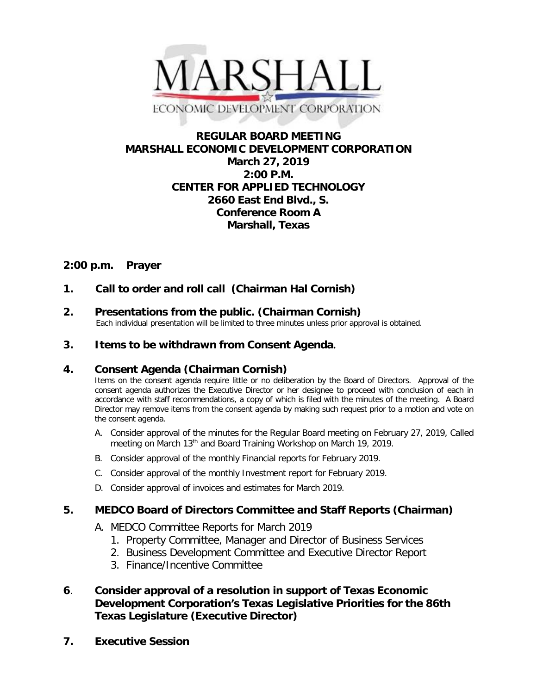

# **REGULAR BOARD MEETING MARSHALL ECONOMIC DEVELOPMENT CORPORATION March 27, 2019 2:00 P.M. CENTER FOR APPLIED TECHNOLOGY 2660 East End Blvd., S. Conference Room A Marshall, Texas**

# **2:00 p.m. Prayer**

**1. Call to order and roll call (Chairman Hal Cornish)**

**2. Presentations from the public. (Chairman Cornish)**<br>Each individual presentation will be limited to three minutes unless prior approval is obtained.

## **3. Items to be withdrawn from Consent Agenda.**

## **4. Consent Agenda (Chairman Cornish)**

Items on the consent agenda require little or no deliberation by the Board of Directors. Approval of the consent agenda authorizes the Executive Director or her designee to proceed with conclusion of each in accordance with staff recommendations, a copy of which is filed with the minutes of the meeting. A Board Director may remove items from the consent agenda by making such request prior to a motion and vote on the consent agenda.

- A. Consider approval of the minutes for the Regular Board meeting on February 27, 2019, Called meeting on March 13<sup>th</sup> and Board Training Workshop on March 19, 2019.
- B. Consider approval of the monthly Financial reports for February 2019.
- C. Consider approval of the monthly Investment report for February 2019.
- D. Consider approval of invoices and estimates for March 2019.

## **5. MEDCO Board of Directors Committee and Staff Reports (Chairman)**

- A. MEDCO Committee Reports for March 2019
	- 1. Property Committee, Manager and Director of Business Services
	- 2. Business Development Committee and Executive Director Report
	- 3. Finance/Incentive Committee
- **6**. **Consider approval of a resolution in support of Texas Economic Development Corporation's Texas Legislative Priorities for the 86th Texas Legislature (Executive Director)**
- **7. Executive Session**